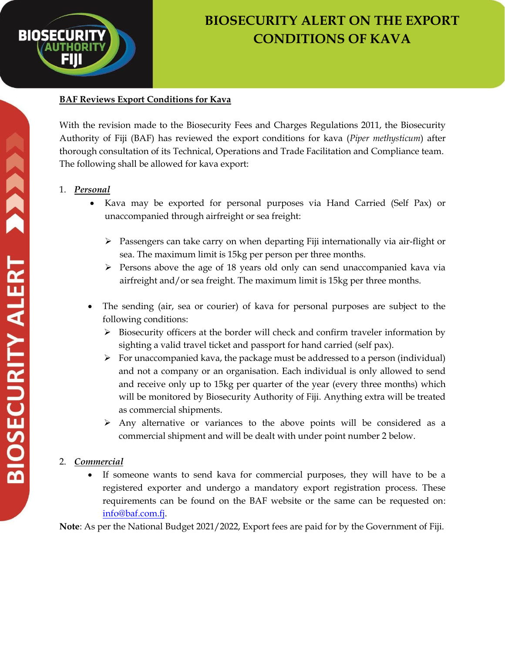

## **BIOSECURITY ALERT ON THE EXPORT CONDITIONS OF KAVA**

## **BAF Reviews Export Conditions for Kava**

With the revision made to the Biosecurity Fees and Charges Regulations 2011, the Biosecurity Authority of Fiji (BAF) has reviewed the export conditions for kava (*Piper methysticum*) after thorough consultation of its Technical, Operations and Trade Facilitation and Compliance team. The following shall be allowed for kava export:

## 1. *Personal*

- Kava may be exported for personal purposes via Hand Carried (Self Pax) or unaccompanied through airfreight or sea freight:
	- $\triangleright$  Passengers can take carry on when departing Fiji internationally via air-flight or sea. The maximum limit is 15kg per person per three months.
	- $\triangleright$  Persons above the age of 18 years old only can send unaccompanied kava via airfreight and/or sea freight. The maximum limit is 15kg per three months.
- The sending (air, sea or courier) of kava for personal purposes are subject to the following conditions:
	- $\triangleright$  Biosecurity officers at the border will check and confirm traveler information by sighting a valid travel ticket and passport for hand carried (self pax).
	- $\triangleright$  For unaccompanied kava, the package must be addressed to a person (individual) and not a company or an organisation. Each individual is only allowed to send and receive only up to 15kg per quarter of the year (every three months) which will be monitored by Biosecurity Authority of Fiji. Anything extra will be treated as commercial shipments.
	- $\triangleright$  Any alternative or variances to the above points will be considered as a commercial shipment and will be dealt with under point number 2 below.

## 2. *Commercial*

 If someone wants to send kava for commercial purposes, they will have to be a registered exporter and undergo a mandatory export registration process. These requirements can be found on the BAF website or the same can be requested on: [info@baf.com.fj.](mailto:info@baf.com.fj)

**Note**: As per the National Budget 2021/2022, Export fees are paid for by the Government of Fiji.